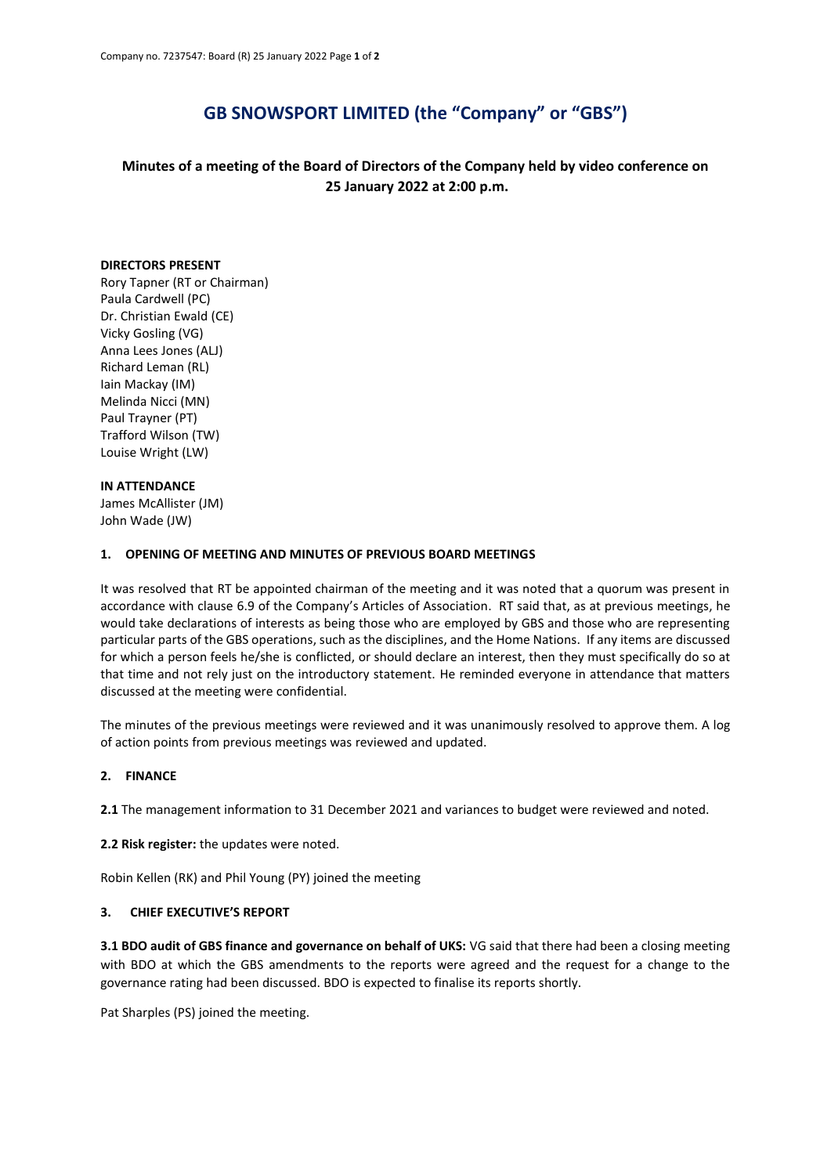# **GB SNOWSPORT LIMITED (the "Company" or "GBS")**

**Minutes of a meeting of the Board of Directors of the Company held by video conference on 25 January 2022 at 2:00 p.m.**

#### **DIRECTORS PRESENT**

Rory Tapner (RT or Chairman) Paula Cardwell (PC) Dr. Christian Ewald (CE) Vicky Gosling (VG) Anna Lees Jones (ALJ) Richard Leman (RL) Iain Mackay (IM) Melinda Nicci (MN) Paul Trayner (PT) Trafford Wilson (TW) Louise Wright (LW)

#### **IN ATTENDANCE**

James McAllister (JM) John Wade (JW)

#### **1. OPENING OF MEETING AND MINUTES OF PREVIOUS BOARD MEETINGS**

It was resolved that RT be appointed chairman of the meeting and it was noted that a quorum was present in accordance with clause 6.9 of the Company's Articles of Association. RT said that, as at previous meetings, he would take declarations of interests as being those who are employed by GBS and those who are representing particular parts of the GBS operations, such as the disciplines, and the Home Nations. If any items are discussed for which a person feels he/she is conflicted, or should declare an interest, then they must specifically do so at that time and not rely just on the introductory statement. He reminded everyone in attendance that matters discussed at the meeting were confidential.

The minutes of the previous meetings were reviewed and it was unanimously resolved to approve them. A log of action points from previous meetings was reviewed and updated.

### **2. FINANCE**

**2.1** The management information to 31 December 2021 and variances to budget were reviewed and noted.

**2.2 Risk register:** the updates were noted.

Robin Kellen (RK) and Phil Young (PY) joined the meeting

### **3. CHIEF EXECUTIVE'S REPORT**

**3.1 BDO audit of GBS finance and governance on behalf of UKS:** VG said that there had been a closing meeting with BDO at which the GBS amendments to the reports were agreed and the request for a change to the governance rating had been discussed. BDO is expected to finalise its reports shortly.

Pat Sharples (PS) joined the meeting.